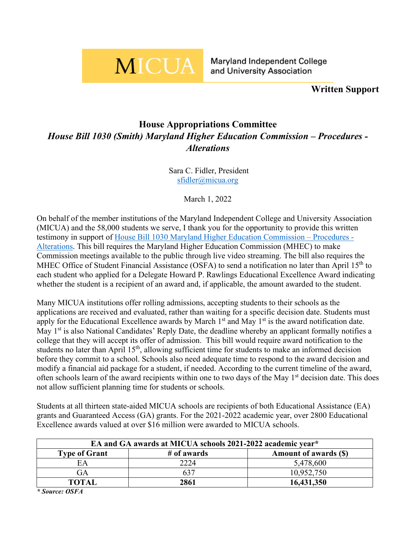## **MICUA**

Maryland Independent College and University Association

**Written Support**

## **House Appropriations Committee** *House Bill 1030 (Smith) Maryland Higher Education Commission – Procedures - Alterations*

Sara C. Fidler, President [sfidler@micua.org](mailto:sfidler@micua.org)

March 1, 2022

On behalf of the member institutions of the Maryland Independent College and University Association (MICUA) and the 58,000 students we serve, I thank you for the opportunity to provide this written testimony in support of [House Bill 1030 Maryland Higher Education Commission –](https://mgaleg.maryland.gov/mgawebsite/Legislation/Details/HB1030?ys=2022RS) Procedures - [Alterations.](https://mgaleg.maryland.gov/mgawebsite/Legislation/Details/HB1030?ys=2022RS) This bill requires the Maryland Higher Education Commission (MHEC) to make Commission meetings available to the public through live video streaming. The bill also requires the MHEC Office of Student Financial Assistance (OSFA) to send a notification no later than April 15<sup>th</sup> to each student who applied for a Delegate Howard P. Rawlings Educational Excellence Award indicating whether the student is a recipient of an award and, if applicable, the amount awarded to the student.

Many MICUA institutions offer rolling admissions, accepting students to their schools as the applications are received and evaluated, rather than waiting for a specific decision date. Students must apply for the Educational Excellence awards by March  $1<sup>st</sup>$  and May  $1<sup>st</sup>$  is the award notification date. May 1<sup>st</sup> is also National Candidates' Reply Date, the deadline whereby an applicant formally notifies a college that they will accept its offer of admission. This bill would require award notification to the students no later than April 15<sup>th</sup>, allowing sufficient time for students to make an informed decision before they commit to a school. Schools also need adequate time to respond to the award decision and modify a financial aid package for a student, if needed. According to the current timeline of the award, often schools learn of the award recipients within one to two days of the May 1<sup>st</sup> decision date. This does not allow sufficient planning time for students or schools.

Students at all thirteen state-aided MICUA schools are recipients of both Educational Assistance (EA) grants and Guaranteed Access (GA) grants. For the 2021-2022 academic year, over 2800 Educational Excellence awards valued at over \$16 million were awarded to MICUA schools.

| EA and GA awards at MICUA schools 2021-2022 academic year* |             |                       |
|------------------------------------------------------------|-------------|-----------------------|
| <b>Type of Grant</b>                                       | # of awards | Amount of awards (\$) |
| ЕA                                                         | 2224        | 5,478,600             |
| GА                                                         | 637         | 10,952,750            |
| <b>TOTAL</b>                                               | 2861        | 16,431,350            |

*\* Source: OSFA*